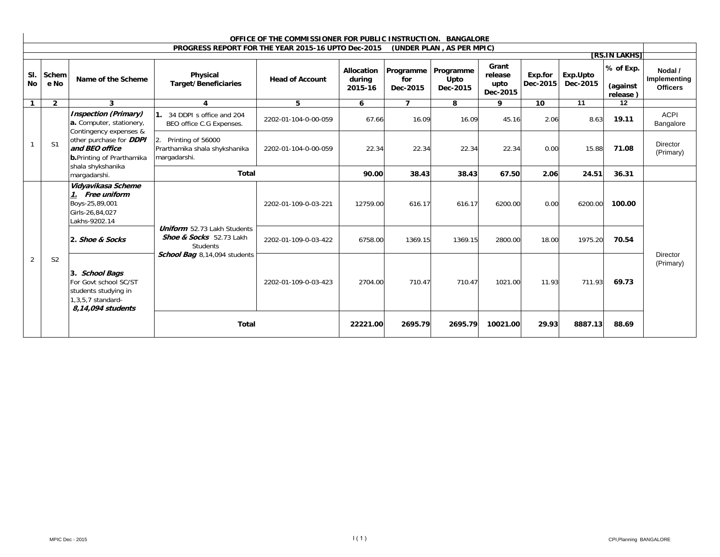| OFFICE OF THE COMMISSIONER FOR PUBLIC INSTRUCTION. BANGALORE |                |                                                                                                                                                                                                                 |                                                                                  |                        |                                 |                              |                               |                                      |                     |                      |                                   |                                            |
|--------------------------------------------------------------|----------------|-----------------------------------------------------------------------------------------------------------------------------------------------------------------------------------------------------------------|----------------------------------------------------------------------------------|------------------------|---------------------------------|------------------------------|-------------------------------|--------------------------------------|---------------------|----------------------|-----------------------------------|--------------------------------------------|
|                                                              |                |                                                                                                                                                                                                                 | PROGRESS REPORT FOR THE YEAR 2015-16 UPTO Dec-2015                               |                        |                                 |                              | (UNDER PLAN, AS PER MPIC)     |                                      |                     |                      | [RS.IN LAKHS]                     |                                            |
| SI.<br><b>No</b>                                             | Schem<br>e No  | Name of the Scheme                                                                                                                                                                                              | Physical<br><b>Target/Beneficiaries</b>                                          | <b>Head of Account</b> | Allocation<br>during<br>2015-16 | Programme<br>for<br>Dec-2015 | Programme<br>Upto<br>Dec-2015 | Grant<br>release<br>upto<br>Dec-2015 | Exp.for<br>Dec-2015 | Exp.Upto<br>Dec-2015 | % of Exp.<br>(against<br>release) | Nodal /<br>Implementing<br><b>Officers</b> |
| $\overline{1}$                                               | $\overline{2}$ | $\mathbf{3}$                                                                                                                                                                                                    | 4                                                                                | 5                      | 6                               | $\overline{7}$               | 8                             | 9                                    | 10                  | 11                   | 12                                |                                            |
|                                                              |                | <b>Inspection (Primary)</b><br>a. Computer, stationery,<br>Contingency expenses &<br>other purchase for <b>DDPI</b><br>and BEO office<br><b>b.</b> Printing of Prarthamika<br>shala shykshanika<br>margadarshi. | 1. 34 DDPI s office and 204<br>BEO office C.G Expenses.                          | 2202-01-104-0-00-059   | 67.66                           | 16.09                        | 16.09                         | 45.16                                | 2.06                | 8.63                 | 19.11                             | <b>ACPI</b><br>Bangalore                   |
|                                                              | S <sub>1</sub> |                                                                                                                                                                                                                 | Printing of 56000<br>2.<br>Prarthamika shala shykshanika<br>margadarshi.         | 2202-01-104-0-00-059   | 22.34                           | 22.34                        | 22.34                         | 22.34                                | 0.00                | 15.88                | 71.08                             | Director<br>(Primary)                      |
|                                                              |                |                                                                                                                                                                                                                 | <b>Total</b>                                                                     |                        | 90.00                           | 38.43                        | 38.43                         | 67.50                                | 2.06                | 24.51                | 36.31                             |                                            |
|                                                              |                | Vidyavikasa Scheme<br>1. Free uniform<br>Boys-25,89,001<br>Girls-26,84,027<br>Lakhs-9202.14                                                                                                                     | <b>Uniform</b> 52.73 Lakh Students<br>Shoe & Socks 52.73 Lakh<br><b>Students</b> | 2202-01-109-0-03-221   | 12759.00                        | 616.17                       | 616.17                        | 6200.00                              | 0.00                | 6200.00              | 100.00                            |                                            |
|                                                              |                | 2. Shoe & Socks                                                                                                                                                                                                 |                                                                                  | 2202-01-109-0-03-422   | 6758.00                         | 1369.15                      | 1369.15                       | 2800.00                              | 18.00               | 1975.20              | 70.54                             |                                            |
| 2                                                            | S <sub>2</sub> | School Bag 8,14,094 students<br>3. School Bags<br>For Govt school SC/ST<br>students studying in<br>1,3,5,7 standard-<br>8,14,094 students<br><b>Total</b>                                                       | 2202-01-109-0-03-423                                                             | 2704.00                | 710.47                          | 710.47                       | 1021.00                       | 11.93                                | 711.93              | 69.73                | <b>Director</b><br>(Primary)      |                                            |
|                                                              |                |                                                                                                                                                                                                                 |                                                                                  |                        | 22221.00                        | 2695.79                      | 2695.79                       | 10021.00                             | 29.93               | 8887.13              | 88.69                             |                                            |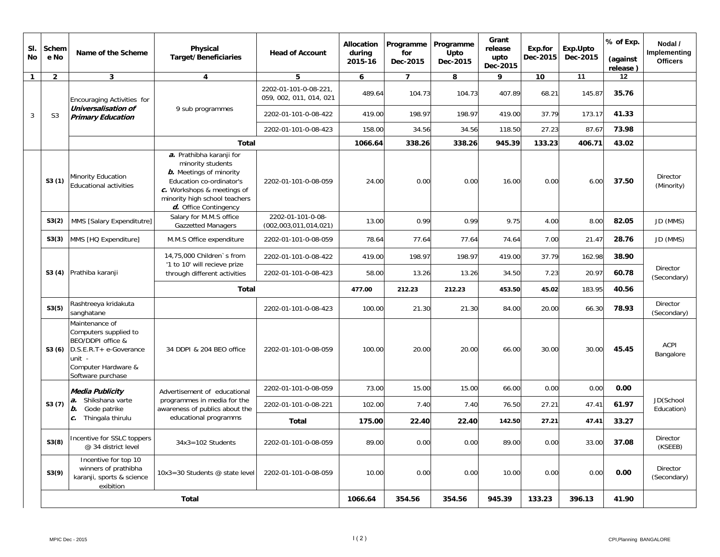| SI.<br><b>No</b> | Schem<br>e No  | Name of the Scheme                                                                                                                           | Physical<br><b>Target/Beneficiaries</b>                                                                                                                                                                    | <b>Head of Account</b>                           | <b>Allocation</b><br>during<br>2015-16 | Programme<br>for<br>Dec-2015 | Programme<br>Upto<br>Dec-2015 | Grant<br>release<br>upto<br>Dec-2015 | Exp.for<br>Dec-2015 | Exp.Upto<br>Dec-2015 | % of Exp.<br>(against<br>release) | Nodal /<br>Implementing<br><b>Officers</b> |
|------------------|----------------|----------------------------------------------------------------------------------------------------------------------------------------------|------------------------------------------------------------------------------------------------------------------------------------------------------------------------------------------------------------|--------------------------------------------------|----------------------------------------|------------------------------|-------------------------------|--------------------------------------|---------------------|----------------------|-----------------------------------|--------------------------------------------|
| $\mathbf{1}$     | $\overline{2}$ | $\mathbf{3}$                                                                                                                                 | 4                                                                                                                                                                                                          | 5                                                | 6                                      | $\overline{ }$               | 8                             | 9                                    | 10                  | 11                   | 12                                |                                            |
|                  |                | Encouraging Activities for                                                                                                                   |                                                                                                                                                                                                            | 2202-01-101-0-08-221.<br>059, 002, 011, 014, 021 | 489.64                                 | 104.73                       | 104.73                        | 407.89                               | 68.21               | 145.87               | 35.76                             |                                            |
| 3                | S <sub>3</sub> | Universalisation of<br><b>Primary Education</b>                                                                                              | 9 sub programmes                                                                                                                                                                                           | 2202-01-101-0-08-422                             | 419.00                                 | 198.97                       | 198.97                        | 419.00                               | 37.79               | 173.17               | 41.33                             |                                            |
|                  |                |                                                                                                                                              |                                                                                                                                                                                                            | 2202-01-101-0-08-423                             | 158.00                                 | 34.56                        | 34.56                         | 118.50                               | 27.23               | 87.67                | 73.98                             |                                            |
|                  |                |                                                                                                                                              | <b>Total</b>                                                                                                                                                                                               |                                                  | 1066.64                                | 338.26                       | 338.26                        | 945.39                               | 133.23              | 406.71               | 43.02                             |                                            |
|                  | S3(1)          | Minority Education<br><b>Educational activities</b>                                                                                          | a. Prathibha karanji for<br>minority students<br><b><i>b.</i></b> Meetings of minority<br>Education co-ordinator's<br>c. Workshops & meetings of<br>minority high school teachers<br>d. Office Contingency | 2202-01-101-0-08-059                             | 24.00                                  | 0.00                         | 0.00                          | 16.00                                | 0.00                | 6.00                 | 37.50                             | Director<br>(Minority)                     |
|                  | S3(2)          | MMS [Salary Expenditutre]                                                                                                                    | Salary for M.M.S office<br><b>Gazzetted Managers</b>                                                                                                                                                       | 2202-01-101-0-08-<br>(002, 003, 011, 014, 021)   | 13.00                                  | 0.99                         | 0.99                          | 9.75                                 | 4.00                | 8.00                 | 82.05                             | JD (MMS)                                   |
|                  | S3(3)          | MMS [HQ Expenditure]                                                                                                                         | M.M.S Office expenditure                                                                                                                                                                                   | 2202-01-101-0-08-059                             | 78.64                                  | 77.64                        | 77.64                         | 74.64                                | 7.00                | 21.47                | 28.76                             | JD (MMS)                                   |
|                  |                |                                                                                                                                              | 14,75,000 Children's from<br>'1 to 10' will recieve prize                                                                                                                                                  | 2202-01-101-0-08-422                             | 419.00                                 | 198.97                       | 198.97                        | 419.00                               | 37.79               | 162.98               | 38.90                             |                                            |
|                  | S3(4)          | Prathiba karanji                                                                                                                             | through different activities                                                                                                                                                                               | 2202-01-101-0-08-423                             | 58.00                                  | 13.26                        | 13.26                         | 34.50                                | 7.23                | 20.97                | 60.78                             | <b>Director</b><br>(Secondary)             |
|                  |                |                                                                                                                                              | <b>Total</b>                                                                                                                                                                                               |                                                  | 477.00                                 | 212.23                       | 212.23                        | 453.50                               | 45.02               | 183.95               | 40.56                             |                                            |
|                  | S3(5)          | Rashtreeya kridakuta<br>sanghatane                                                                                                           |                                                                                                                                                                                                            | 2202-01-101-0-08-423                             | 100.00                                 | 21.30                        | 21.30                         | 84.00                                | 20.00               | 66.30                | 78.93                             | Director<br>(Secondary)                    |
|                  | S3(6)          | Maintenance of<br>Computers supplied to<br>BEO/DDPI office &<br>D.S.E.R.T+ e-Goverance<br>unit -<br>Computer Hardware &<br>Software purchase | 34 DDPI & 204 BEO office                                                                                                                                                                                   | 2202-01-101-0-08-059                             | 100.00                                 | 20.00                        | 20.00                         | 66.00                                | 30.00               | 30.00                | 45.45                             | ACPI<br>Bangalore                          |
|                  |                | <b>Media Publicity</b>                                                                                                                       | Advertisement of educational                                                                                                                                                                               | 2202-01-101-0-08-059                             | 73.00                                  | 15.00                        | 15.00                         | 66.00                                | 0.00                | 0.00                 | 0.00                              |                                            |
|                  | S3(7)          | Shikshana varte<br>a.<br>b.<br>Gode patrike                                                                                                  | programmes in media for the<br>awareness of publics about the                                                                                                                                              | 2202-01-101-0-08-221                             | 102.00                                 | 7.40                         | 7.40                          | 76.50                                | 27.21               | 47.41                | 61.97                             | JD(School<br>Education)                    |
|                  |                | c. Thingala thirulu                                                                                                                          | educational programms                                                                                                                                                                                      | <b>Total</b>                                     | 175.00                                 | 22.40                        | 22.40                         | 142.50                               | 27.21               | 47.41                | 33.27                             |                                            |
|                  | S3(8)          | Incentive for SSLC toppers<br>@ 34 district level                                                                                            | $34x3 = 102$ Students                                                                                                                                                                                      | 2202-01-101-0-08-059                             | 89.00                                  | 0.00                         | 0.00                          | 89.00                                | 0.00                | 33.00                | 37.08                             | Director<br>(KSEEB)                        |
|                  | S3(9)          | Incentive for top 10<br>winners of prathibha<br>karanji, sports & science<br>exibition                                                       | 10x3=30 Students @ state level                                                                                                                                                                             | 2202-01-101-0-08-059                             | 10.00                                  | 0.00                         | 0.00                          | 10.00                                | 0.00                | 0.00                 | 0.00                              | <b>Director</b><br>(Secondary)             |
|                  | <b>Total</b>   |                                                                                                                                              |                                                                                                                                                                                                            |                                                  | 1066.64                                | 354.56                       | 354.56                        | 945.39                               | 133.23              | 396.13               | 41.90                             |                                            |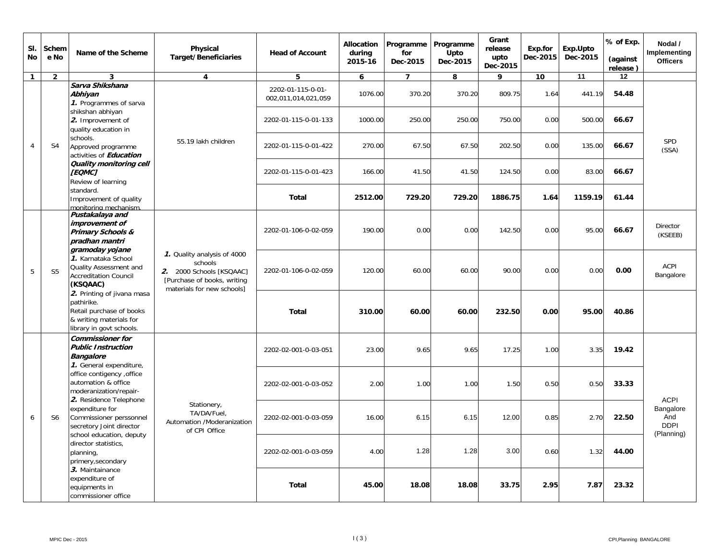| SI.<br>No      | Schem<br>e No  | Name of the Scheme                                                                                                                                                                       | Physical<br><b>Target/Beneficiaries</b>                                                                                         | <b>Head of Account</b>                   | <b>Allocation</b><br>during<br>2015-16 | Programme<br>for<br>Dec-2015 | Programme<br>Upto<br>Dec-2015 | Grant<br>release<br>upto<br>Dec-2015 | Exp.for<br>Dec-2015 | Exp.Upto<br>Dec-2015 | % of Exp.<br>(against<br>release) | Nodal /<br>Implementing<br><b>Officers</b>    |       |
|----------------|----------------|------------------------------------------------------------------------------------------------------------------------------------------------------------------------------------------|---------------------------------------------------------------------------------------------------------------------------------|------------------------------------------|----------------------------------------|------------------------------|-------------------------------|--------------------------------------|---------------------|----------------------|-----------------------------------|-----------------------------------------------|-------|
| $\mathbf{1}$   | $\overline{2}$ | 3                                                                                                                                                                                        | $\overline{\mathbf{4}}$                                                                                                         | 5                                        | 6                                      | $\overline{7}$               | 8                             | 9                                    | 10                  | 11                   | 12                                |                                               |       |
|                |                | Sarva Shikshana<br>Abhiyan<br>1. Programmes of sarva                                                                                                                                     |                                                                                                                                 | 2202-01-115-0-01-<br>002,011,014,021,059 | 1076.00                                | 370.20                       | 370.20                        | 809.75                               | 1.64                | 441.19               | 54.48                             |                                               |       |
|                |                | shikshan abhiyan<br>2. Improvement of<br>quality education in                                                                                                                            |                                                                                                                                 | 2202-01-115-0-01-133                     | 1000.00                                | 250.00                       | 250.00                        | 750.00                               | 0.00                | 500.00               | 66.67                             |                                               |       |
| $\overline{4}$ | S <sub>4</sub> | schools.<br>Approved programme<br>activities of <b>Education</b>                                                                                                                         | 55.19 lakh children                                                                                                             | 2202-01-115-0-01-422                     | 270.00                                 | 67.50                        | 67.50                         | 202.50                               | 0.00                | 135.00               | 66.67                             | <b>SPD</b><br>(SSA)                           |       |
|                |                | Quality monitoring cell<br>[EQMC]<br>Review of learning                                                                                                                                  | 2202-01-115-0-01-423                                                                                                            | 166.00                                   | 41.50                                  | 41.50                        | 124.50                        | 0.00                                 | 83.00               | 66.67                |                                   |                                               |       |
|                |                | standard.<br>Improvement of quality<br>monitoring mechanism.                                                                                                                             |                                                                                                                                 | <b>Total</b>                             | 2512.00                                | 729.20                       | 729.20                        | 1886.75                              | 1.64                | 1159.19              | 61.44                             |                                               |       |
|                |                | Pustakalaya and<br>improvement of<br>Primary Schools &<br>pradhan mantri<br>gramoday yojane<br>1. Karnataka School<br>Quality Assessment and<br><b>Accreditation Council</b><br>(KSQAAC) | 1. Quality analysis of 4000<br>schools<br>2. 2000 Schools [KSQAAC]<br>[Purchase of books, writing<br>materials for new schools] | 2202-01-106-0-02-059                     | 190.00                                 | 0.00                         | 0.00                          | 142.50                               | 0.00                | 95.00                | 66.67                             | <b>Director</b><br>(KSEEB)                    |       |
| 5              | S <sub>5</sub> |                                                                                                                                                                                          |                                                                                                                                 | 2202-01-106-0-02-059                     | 120.00                                 | 60.00                        | 60.00                         | 90.00                                | 0.00                | 0.00                 | 0.00                              | ACPI<br>Bangalore                             |       |
|                |                | 2. Printing of jivana masa<br>pathirike.<br>Retail purchase of books<br>& writing materials for<br>library in govt schools.                                                              |                                                                                                                                 | <b>Total</b>                             | 310.00                                 | 60.00                        | 60.00                         | 232.50                               | 0.00                | 95.00                | 40.86                             |                                               |       |
|                |                | <b>Commissioner for</b><br><b>Public Instruction</b><br><b>Bangalore</b><br>1. General expenditure,<br>office contigency , office<br>automation & office<br>moderanization/repair-       |                                                                                                                                 | 2202-02-001-0-03-051                     | 23.00                                  | 9.65                         | 9.65                          | 17.25                                | 1.00                | 3.35                 | 19.42                             |                                               |       |
|                |                |                                                                                                                                                                                          |                                                                                                                                 | 2202-02-001-0-03-052                     | 2.00                                   | 1.00                         | 1.00                          | 1.50                                 | 0.50                | 0.50                 | 33.33                             | <b>ACPI</b>                                   |       |
| 6              | S <sub>6</sub> | 2. Residence Telephone<br>expenditure for<br>Commissioner perssonnel<br>secretory Joint director                                                                                         | Stationery,<br>TA/DA/Fuel.<br>Automation /Moderanization<br>of CPI Office                                                       | 2202-02-001-0-03-059                     | 16.00                                  | 6.15                         | 6.15                          | 12.00                                | 0.85                | 2.70                 | 22.50                             | Bangalore<br>And<br><b>DDPI</b><br>(Planning) |       |
|                |                | school education, deputy<br>director statistics,<br>planning,<br>primery, secondary                                                                                                      | 3. Maintainance<br>expenditure of<br>equipments in<br>commissioner office                                                       |                                          | 2202-02-001-0-03-059                   | 4.00                         | 1.28                          | 1.28                                 | 3.00                | 0.60                 | 1.32                              | 44.00                                         |       |
|                |                |                                                                                                                                                                                          |                                                                                                                                 |                                          |                                        | <b>Total</b>                 | 45.00                         | 18.08                                | 18.08               | 33.75                | 2.95                              | 7.87                                          | 23.32 |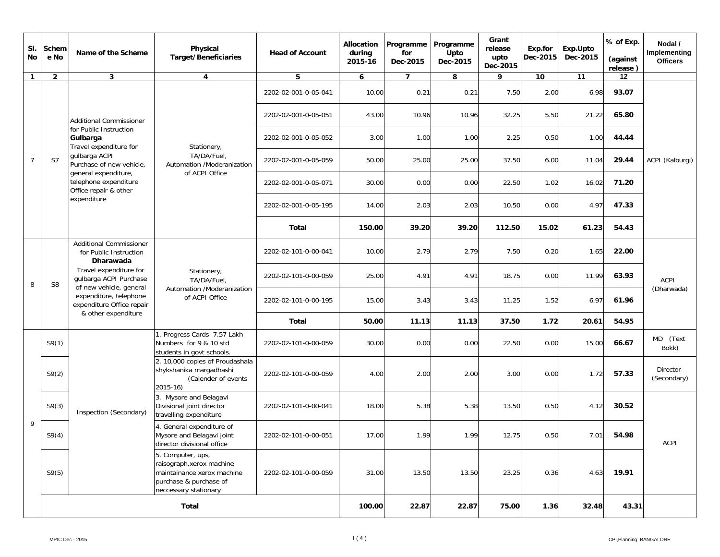| SI.<br>No      | Schem<br>e No  | Name of the Scheme                                                                                                                                                                                                                 | Physical<br><b>Target/Beneficiaries</b>                                                                                         | <b>Head of Account</b> | Allocation<br>during<br>2015-16 | Programme<br>for<br>Dec-2015 | Programme<br>Upto<br>Dec-2015 | Grant<br>release<br>upto<br>Dec-2015 | Exp.for<br>Dec-2015 | Exp.Upto<br>Dec-2015 | % of Exp.<br>(against<br>release) | Nodal /<br>Implementing<br><b>Officers</b> |
|----------------|----------------|------------------------------------------------------------------------------------------------------------------------------------------------------------------------------------------------------------------------------------|---------------------------------------------------------------------------------------------------------------------------------|------------------------|---------------------------------|------------------------------|-------------------------------|--------------------------------------|---------------------|----------------------|-----------------------------------|--------------------------------------------|
| $\mathbf{1}$   | $\overline{2}$ | $\mathbf{3}$                                                                                                                                                                                                                       | 4                                                                                                                               | 5                      | 6                               | $\overline{7}$               | 8                             | 9                                    | 10                  | 11                   | 12                                |                                            |
|                |                |                                                                                                                                                                                                                                    |                                                                                                                                 | 2202-02-001-0-05-041   | 10.00                           | 0.21                         | 0.21                          | 7.50                                 | 2.00                | 6.98                 | 93.07                             |                                            |
|                |                | Additional Commissioner                                                                                                                                                                                                            |                                                                                                                                 | 2202-02-001-0-05-051   | 43.00                           | 10.96                        | 10.96                         | 32.25                                | 5.50                | 21.22                | 65.80                             |                                            |
|                |                | for Public Instruction<br>Gulbarga<br>Travel expenditure for                                                                                                                                                                       | Stationery,                                                                                                                     | 2202-02-001-0-05-052   | 3.00                            | 1.00                         | 1.00                          | 2.25                                 | 0.50                | 1.00                 | 44.44                             |                                            |
| $\overline{7}$ | S7             | qulbarga ACPI<br>Purchase of new vehicle.<br>general expenditure,<br>telephone expenditure<br>Office repair & other<br>expenditure                                                                                                 | TA/DA/Fuel,<br>Automation /Moderanization                                                                                       | 2202-02-001-0-05-059   | 50.00                           | 25.00                        | 25.00                         | 37.50                                | 6.00                | 11.04                | 29.44                             | ACPI (Kalburgi)                            |
|                |                |                                                                                                                                                                                                                                    | of ACPI Office                                                                                                                  | 2202-02-001-0-05-071   | 30.00                           | 0.00                         | 0.00                          | 22.50                                | 1.02                | 16.02                | 71.20                             |                                            |
|                |                |                                                                                                                                                                                                                                    |                                                                                                                                 | 2202-02-001-0-05-195   | 14.00                           | 2.03                         | 2.03                          | 10.50                                | 0.00                | 4.97                 | 47.33                             |                                            |
|                |                |                                                                                                                                                                                                                                    |                                                                                                                                 | Total                  | 150.00                          | 39.20                        | 39.20                         | 112.50                               | 15.02               | 61.23                | 54.43                             |                                            |
|                | S <sub>8</sub> | <b>Additional Commissioner</b><br>for Public Instruction<br>Dharawada<br>Travel expenditure for<br>gulbarga ACPI Purchase<br>of new vehicle, general<br>expenditure, telephone<br>expenditure Office repair<br>& other expenditure | Stationery,<br>TA/DA/Fuel.<br>Automation /Moderanization<br>of ACPI Office                                                      | 2202-02-101-0-00-041   | 10.00                           | 2.79                         | 2.79                          | 7.50                                 | 0.20                | 1.65                 | 22.00                             |                                            |
| 8              |                |                                                                                                                                                                                                                                    |                                                                                                                                 | 2202-02-101-0-00-059   | 25.00                           | 4.91                         | 4.91                          | 18.75                                | 0.00                | 11.99                | 63.93                             | ACPI<br>(Dharwada)                         |
|                |                |                                                                                                                                                                                                                                    |                                                                                                                                 | 2202-02-101-0-00-195   | 15.00                           | 3.43                         | 3.43                          | 11.25                                | 1.52                | 6.97                 | 61.96                             |                                            |
|                |                |                                                                                                                                                                                                                                    |                                                                                                                                 | Total                  | 50.00                           | 11.13                        | 11.13                         | 37.50                                | 1.72                | 20.61                | 54.95                             |                                            |
|                | S9(1)          |                                                                                                                                                                                                                                    | 1. Progress Cards 7.57 Lakh<br>Numbers for 9 & 10 std<br>students in govt schools.                                              | 2202-02-101-0-00-059   | 30.00                           | 0.00                         | 0.00                          | 22.50                                | 0.00                | 15.00                | 66.67                             | MD (Text<br>Bokk)                          |
|                | S9(2)          |                                                                                                                                                                                                                                    | 2. 10,000 copies of Proudashala<br>shykshanika margadhashi<br>(Calender of events<br>2015-16)                                   | 2202-02-101-0-00-059   | 4.00                            | 2.00                         | 2.00                          | 3.00                                 | 0.00                | 1.72                 | 57.33                             | Director<br>(Secondary)                    |
|                | S9(3)          | Inspection (Secondary)                                                                                                                                                                                                             | 3. Mysore and Belagavi<br>Divisional joint director<br>travelling expenditure                                                   | 2202-02-101-0-00-041   | 18.00                           | 5.38                         | 5.38                          | 13.50                                | 0.50                | 4.12                 | 30.52                             |                                            |
| 9              | S9(4)          |                                                                                                                                                                                                                                    | 4. General expenditure of<br>Mysore and Belagavi joint<br>director divisional office                                            | 2202-02-101-0-00-051   | 17.00                           | 1.99                         | 1.99                          | 12.75                                | 0.50                | 7.01                 | 54.98                             | ACPI                                       |
|                | S9(5)          |                                                                                                                                                                                                                                    | 5. Computer, ups,<br>raisograph, xerox machine<br>maintainance xerox machine<br>purchase & purchase of<br>neccessary stationary | 2202-02-101-0-00-059   | 31.00                           | 13.50                        | 13.50                         | 23.25                                | 0.36                | 4.63                 | 19.91                             |                                            |
|                |                | Total                                                                                                                                                                                                                              |                                                                                                                                 |                        | 100.00                          | 22.87                        | 22.87                         | 75.00                                | 1.36                | 32.48                | 43.31                             |                                            |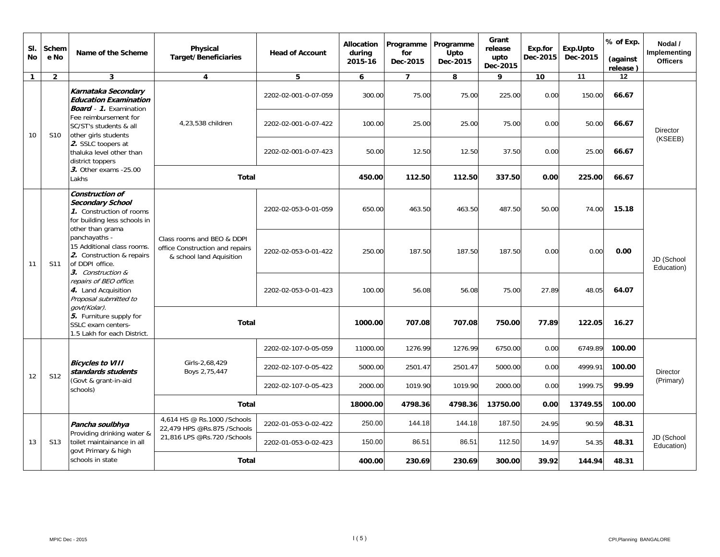| SI.<br><b>No</b> | Schem<br>e No   | Name of the Scheme                                                                                                                                                                                                                                                                                                       | Physical<br><b>Target/Beneficiaries</b>                                                   | <b>Head of Account</b> | <b>Allocation</b><br>during<br>2015-16 | Programme<br>for<br>Dec-2015 | Programme<br>Upto<br>Dec-2015 | Grant<br>release<br>upto<br>Dec-2015 | Exp.for<br>Dec-2015 | Exp.Upto<br>Dec-2015 | % of Exp.<br>(against<br>release) | Nodal /<br>Implementing<br><b>Officers</b> |  |
|------------------|-----------------|--------------------------------------------------------------------------------------------------------------------------------------------------------------------------------------------------------------------------------------------------------------------------------------------------------------------------|-------------------------------------------------------------------------------------------|------------------------|----------------------------------------|------------------------------|-------------------------------|--------------------------------------|---------------------|----------------------|-----------------------------------|--------------------------------------------|--|
| $\mathbf{1}$     | $\overline{2}$  | 3                                                                                                                                                                                                                                                                                                                        | 4                                                                                         | 5                      | 6                                      | $\overline{7}$               | 8                             | 9                                    | 10                  | 11                   | 12                                |                                            |  |
|                  |                 | Karnataka Secondary<br><b>Education Examination</b><br><b>Board</b> - 1. Examination<br>Fee reimbursement for<br>SC/ST's students & all<br>other girls students<br>2. SSLC toopers at<br>thaluka level other than<br>district toppers                                                                                    |                                                                                           | 2202-02-001-0-07-059   | 300.00                                 | 75.00                        | 75.00                         | 225.00                               | 0.00                | 150.00               | 66.67                             |                                            |  |
| 10               | S10             |                                                                                                                                                                                                                                                                                                                          | 4,23,538 children                                                                         | 2202-02-001-0-07-422   | 100.00                                 | 25.00                        | 25.00                         | 75.00                                | 0.00                | 50.00                | 66.67                             | <b>Director</b>                            |  |
|                  |                 |                                                                                                                                                                                                                                                                                                                          |                                                                                           | 2202-02-001-0-07-423   | 50.00                                  | 12.50                        | 12.50                         | 37.50                                | 0.00                | 25.00                | 66.67                             | (KSEEB)                                    |  |
|                  |                 | 3. Other exams -25.00<br>Lakhs                                                                                                                                                                                                                                                                                           | <b>Total</b>                                                                              |                        | 450.00                                 | 112.50                       | 112.50                        | 337.50                               | 0.00                | 225.00               | 66.67                             |                                            |  |
|                  |                 | <b>Construction of</b><br>Secondary School<br>1. Construction of rooms<br>for building less schools in<br>other than grama<br>panchayaths -<br>15 Additional class rooms.<br>2. Construction & repairs<br>of DDPI office.<br>3. Construction &<br>repairs of BEO office.<br>4. Land Acquisition<br>Proposal submitted to |                                                                                           |                        | 2202-02-053-0-01-059                   | 650.00                       | 463.50                        | 463.50                               | 487.50              | 50.00                | 74.00                             | 15.18                                      |  |
| 11               | S <sub>11</sub> |                                                                                                                                                                                                                                                                                                                          | Class rooms and BEO & DDPI<br>office Construction and repairs<br>& school land Aquisition | 2202-02-053-0-01-422   | 250.00                                 | 187.50                       | 187.50                        | 187.50                               | 0.00                | 0.00                 | 0.00                              | JD (School<br>Education)                   |  |
|                  |                 |                                                                                                                                                                                                                                                                                                                          |                                                                                           | 2202-02-053-0-01-423   | 100.00                                 | 56.08                        | 56.08                         | 75.00                                | 27.89               | 48.05                | 64.07                             |                                            |  |
|                  |                 | govt(Kolar).<br>5. Furniture supply for<br>SSLC exam centers-<br>1.5 Lakh for each District.                                                                                                                                                                                                                             | <b>Total</b>                                                                              |                        | 1000.00                                | 707.08                       | 707.08                        | 750.00                               | 77.89               | 122.05               | 16.27                             |                                            |  |
|                  |                 |                                                                                                                                                                                                                                                                                                                          |                                                                                           | 2202-02-107-0-05-059   | 11000.00                               | 1276.99                      | 1276.99                       | 6750.00                              | 0.00                | 6749.89              | 100.00                            |                                            |  |
| 12               | S <sub>12</sub> | <b>Bicycles to VIII</b><br>standards students                                                                                                                                                                                                                                                                            | Girls-2,68,429<br>Boys 2,75,447                                                           | 2202-02-107-0-05-422   | 5000.00                                | 2501.47                      | 2501.47                       | 5000.00                              | 0.00                | 4999.91              | 100.00                            | <b>Director</b>                            |  |
|                  |                 | (Govt & grant-in-aid<br>schools)                                                                                                                                                                                                                                                                                         |                                                                                           | 2202-02-107-0-05-423   | 2000.00                                | 1019.90                      | 1019.90                       | 2000.00                              | 0.00                | 1999.75              | 99.99                             | (Primary)                                  |  |
|                  |                 |                                                                                                                                                                                                                                                                                                                          | Total                                                                                     |                        | 18000.00                               | 4798.36                      | 4798.36                       | 13750.00                             | 0.00                | 13749.55             | 100.00                            |                                            |  |
|                  |                 | Pancha soulbhya<br>Providing drinking water &                                                                                                                                                                                                                                                                            | 4,614 HS @ Rs.1000 /Schools<br>22.479 HPS @Rs.875 /Schools                                | 2202-01-053-0-02-422   | 250.00                                 | 144.18                       | 144.18                        | 187.50                               | 24.95               | 90.59                | 48.31                             |                                            |  |
| 13               | S <sub>13</sub> | toilet maintainance in all                                                                                                                                                                                                                                                                                               | 21,816 LPS @Rs.720 /Schools                                                               | 2202-01-053-0-02-423   | 150.00                                 | 86.51                        | 86.51                         | 112.50                               | 14.97               | 54.35                | 48.31                             | JD (School<br>Education)                   |  |
|                  |                 | govt Primary & high<br>schools in state                                                                                                                                                                                                                                                                                  | <b>Total</b>                                                                              |                        | 400.00                                 | 230.69                       | 230.69                        | 300.00                               | 39.92               | 144.94               | 48.31                             |                                            |  |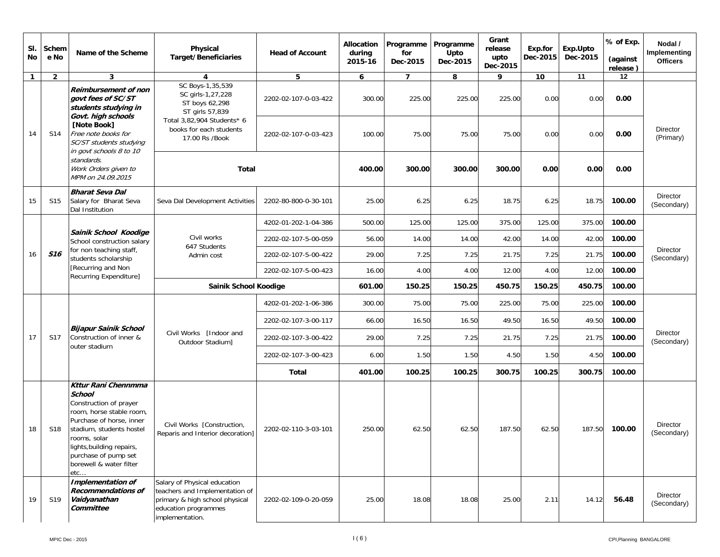| SI.<br>No    | Schem<br>e No   | Name of the Scheme                                                                                                                                                                                                                                 | Physical<br><b>Target/Beneficiaries</b>                                                                                                     | <b>Head of Account</b> | <b>Allocation</b><br>during<br>2015-16 | Programme<br>for<br>Dec-2015 | Programme<br>Upto<br>Dec-2015 | Grant<br>release<br>upto<br>Dec-2015 | Exp.for<br>Dec-2015 | Exp.Upto<br>Dec-2015 | % of Exp.<br>(against<br>release) | Nodal /<br>Implementing<br><b>Officers</b>                 |
|--------------|-----------------|----------------------------------------------------------------------------------------------------------------------------------------------------------------------------------------------------------------------------------------------------|---------------------------------------------------------------------------------------------------------------------------------------------|------------------------|----------------------------------------|------------------------------|-------------------------------|--------------------------------------|---------------------|----------------------|-----------------------------------|------------------------------------------------------------|
| $\mathbf{1}$ | $\overline{2}$  | 3                                                                                                                                                                                                                                                  | 4                                                                                                                                           | 5                      | 6                                      | $\overline{7}$               | 8                             | 9                                    | 10                  | 11                   | 12                                |                                                            |
|              |                 | Reimbursement of non<br>govt fees of SC/ST<br>students studying in                                                                                                                                                                                 | SC Boys-1,35,539<br>SC girls-1,27,228<br>ST boys 62,298<br>ST girls 57,839                                                                  | 2202-02-107-0-03-422   | 300.00                                 | 225.00                       | 225.00                        | 225.00                               | 0.00                | 0.00                 | 0.00                              |                                                            |
| 14           | S14             | Govt. high schools<br>[Note Book]<br>Free note books for<br>SC/ST students studying                                                                                                                                                                | Total 3,82,904 Students* 6<br>books for each students<br>17.00 Rs /Book                                                                     | 2202-02-107-0-03-423   | 100.00                                 | 75.00                        | 75.00                         | 75.00                                | 0.00                | 0.00                 | 0.00                              | Director<br>(Primary)                                      |
|              |                 | in govt schools 8 to 10<br>standards.<br>Work Orders given to<br>MPM on 24.09.2015                                                                                                                                                                 | <b>Total</b>                                                                                                                                |                        | 400.00                                 | 300.00                       | 300.00                        | 300.00                               | 0.00                | 0.00                 | 0.00                              |                                                            |
| 15           | S <sub>15</sub> | <b>Bharat Seva Dal</b><br>Salary for Bharat Seva<br>Dal Institution                                                                                                                                                                                | Seva Dal Development Activities                                                                                                             | 2202-80-800-0-30-101   | 25.00                                  | 6.25                         | 6.25                          | 18.75                                | 6.25                | 18.75                | 100.00                            | Director<br>(Secondary)                                    |
|              |                 |                                                                                                                                                                                                                                                    |                                                                                                                                             | 4202-01-202-1-04-386   | 500.00                                 | 125.00                       | 125.00                        | 375.00                               | 125.00              | 375.00               | 100.00                            |                                                            |
|              |                 | Sainik School Koodige<br>School construction salary                                                                                                                                                                                                | Civil works<br>647 Students                                                                                                                 | 2202-02-107-5-00-059   | 56.00                                  | 14.00                        | 14.00                         | 42.00                                | 14.00               | 42.00                | 100.00                            | Director<br><b>Director</b><br><b>Director</b><br>Director |
| 16           | <b>S16</b>      | for non teaching staff,<br>students scholarship                                                                                                                                                                                                    | Admin cost                                                                                                                                  | 2202-02-107-5-00-422   | 29.00                                  | 7.25                         | 7.25                          | 21.75                                | 7.25                | 21.75                | 100.00                            | (Secondary)                                                |
|              |                 | [Recurring and Non<br>Recurring Expenditure]                                                                                                                                                                                                       |                                                                                                                                             | 2202-02-107-5-00-423   | 16.00                                  | 4.00                         | 4.00                          | 12.00                                | 4.00                | 12.00                | 100.00                            |                                                            |
|              |                 |                                                                                                                                                                                                                                                    | Sainik School Koodige                                                                                                                       |                        | 601.00                                 | 150.25                       | 150.25                        | 450.75                               | 150.25              | 450.75               | 100.00                            |                                                            |
|              |                 |                                                                                                                                                                                                                                                    | Civil Works [Indoor and<br>Outdoor Stadium]                                                                                                 | 4202-01-202-1-06-386   | 300.00                                 | 75.00                        | 75.00                         | 225.00                               | 75.00               | 225.00               | 100.00                            |                                                            |
|              |                 |                                                                                                                                                                                                                                                    |                                                                                                                                             | 2202-02-107-3-00-117   | 66.00                                  | 16.50                        | 16.50                         | 49.50                                | 16.50               | 49.50                | 100.00                            |                                                            |
| 17           | S17             | <b>Bijapur Sainik School</b><br>Construction of inner &                                                                                                                                                                                            |                                                                                                                                             | 2202-02-107-3-00-422   | 29.00                                  | 7.25                         | 7.25                          | 21.75                                | 7.25                | 21.75                | 100.00                            | (Secondary)                                                |
|              |                 | outer stadium                                                                                                                                                                                                                                      |                                                                                                                                             | 2202-02-107-3-00-423   | 6.00                                   | 1.50                         | 1.50                          | 4.50                                 | 1.50                | 4.50                 | 100.00                            |                                                            |
|              |                 |                                                                                                                                                                                                                                                    |                                                                                                                                             | <b>Total</b>           | 401.00                                 | 100.25                       | 100.25                        | 300.75                               | 100.25              | 300.75               | 100.00                            |                                                            |
| 18           | S18             | Kttur Rani Chennmma<br><b>School</b><br>Construction of prayer<br>room, horse stable room,<br>Purchase of horse, inner<br>stadium, students hostel<br>rooms, solar<br>lights, building repairs,<br>purchase of pump set<br>borewell & water filter | Civil Works [Construction,<br>Reparis and Interior decoration]                                                                              | 2202-02-110-3-03-101   | 250.00                                 | 62.50                        | 62.50                         | 187.50                               | 62.50               | 187.50               | 100.00                            | (Secondary)                                                |
| 19           | S19             | etc.<br>Implementation of<br>Recommendations of<br>Vaidyanathan<br>Committee                                                                                                                                                                       | Salary of Physical education<br>teachers and Implementation of<br>primary & high school physical<br>education programmes<br>implementation. | 2202-02-109-0-20-059   | 25.00                                  | 18.08                        | 18.08                         | 25.00                                | 2.11                | 14.12                | 56.48                             | (Secondary)                                                |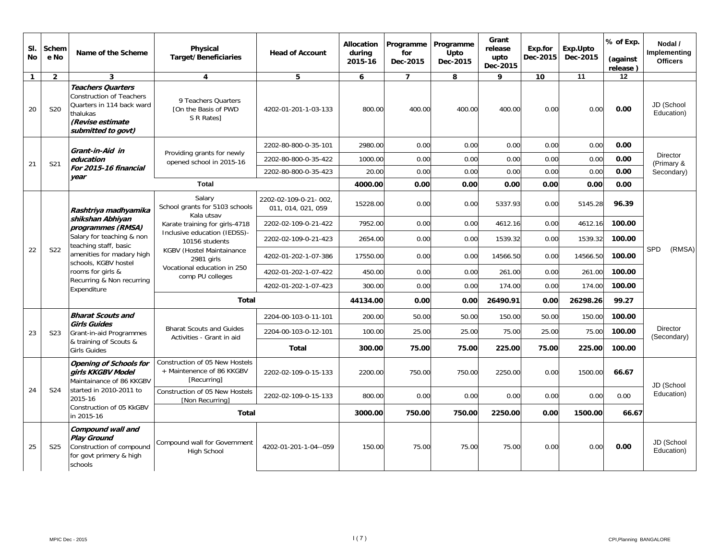| SI.<br><b>No</b> | Schem<br>e No   | Name of the Scheme                                                                                                                                                                                                | Physical<br><b>Target/Beneficiaries</b>                                                   | <b>Head of Account</b>                      | <b>Allocation</b><br>during<br>2015-16 | Programme<br>for<br>Dec-2015 | Programme<br><b>Upto</b><br>Dec-2015 | Grant<br>release<br>upto<br>Dec-2015 | Exp.for<br>Dec-2015 | Exp.Upto<br>Dec-2015 | % of Exp.<br>(against<br>release) | Nodal /<br>Implementing<br><b>Officers</b> |
|------------------|-----------------|-------------------------------------------------------------------------------------------------------------------------------------------------------------------------------------------------------------------|-------------------------------------------------------------------------------------------|---------------------------------------------|----------------------------------------|------------------------------|--------------------------------------|--------------------------------------|---------------------|----------------------|-----------------------------------|--------------------------------------------|
| $\mathbf{1}$     | $\overline{2}$  | 3                                                                                                                                                                                                                 | 4                                                                                         | 5                                           | 6                                      | $\overline{7}$               | 8                                    | 9                                    | 10                  | 11                   | 12                                |                                            |
| 20               | S <sub>20</sub> | <b>Teachers Quarters</b><br><b>Construction of Teachers</b><br>Quarters in 114 back ward<br>thalukas<br>(Revise estimate<br>submitted to govt)                                                                    | 9 Teachers Ouarters<br>[On the Basis of PWD<br>S R Rates]                                 | 4202-01-201-1-03-133                        | 800.00                                 | 400.00                       | 400.00                               | 400.00                               | 0.00                | 0.00                 | 0.00                              | JD (School<br>Education)                   |
|                  |                 | Grant-in-Aid in<br>education                                                                                                                                                                                      |                                                                                           | 2202-80-800-0-35-101                        | 2980.00                                | 0.00                         | 0.00                                 | 0.00                                 | 0.00                | 0.00                 | 0.00                              |                                            |
| 21               | S21             |                                                                                                                                                                                                                   | Providing grants for newly<br>opened school in 2015-16                                    | 2202-80-800-0-35-422                        | 1000.00                                | 0.00                         | 0.00                                 | 0.00                                 | 0.00                | 0.00                 | 0.00                              | <b>Director</b><br>(Primary &              |
|                  |                 | For 2015-16 financial<br>vear                                                                                                                                                                                     |                                                                                           | 2202-80-800-0-35-423                        | 20.00                                  | 0.00                         | 0.00                                 | 0.00                                 | 0.00                | 0.00                 | 0.00                              | Secondary)                                 |
|                  |                 |                                                                                                                                                                                                                   | <b>Total</b>                                                                              |                                             | 4000.00                                | 0.00                         | 0.00                                 | 0.00                                 | 0.00                | 0.00                 | 0.00                              |                                            |
|                  |                 | Rashtriya madhyamika                                                                                                                                                                                              | Salary<br>School grants for 5103 schools<br>Kala utsav                                    | 2202-02-109-0-21-002.<br>011, 014, 021, 059 | 15228.00                               | 0.00                         | 0.00                                 | 5337.93                              | 0.00                | 5145.28              | 96.39                             |                                            |
|                  |                 | shikshan Abhiyan<br>programmes (RMSA)<br>Salary for teaching & non<br>teaching staff, basic<br>amenities for madary high<br>schools, KGBV hostel<br>rooms for girls &<br>Recurring & Non recurring<br>Expenditure | Karate training for girls-4718                                                            | 2202-02-109-0-21-422                        | 7952.00                                | 0.00                         | 0.00                                 | 4612.16                              | 0.00                | 4612.16              | 100.00                            |                                            |
|                  |                 |                                                                                                                                                                                                                   | Inclusive education (IEDSS)-<br>10156 students<br>KGBV (Hostel Maintainance<br>2981 girls | 2202-02-109-0-21-423                        | 2654.00                                | 0.00                         | 0.00                                 | 1539.32                              | 0.00                | 1539.32              | 100.00                            |                                            |
| 22               | S22             |                                                                                                                                                                                                                   |                                                                                           | 4202-01-202-1-07-386                        | 17550.00                               | 0.00                         | 0.00                                 | 14566.50                             | 0.00                | 14566.50             | 100.00                            | SPD<br>(RMSA)                              |
|                  |                 |                                                                                                                                                                                                                   | Vocational education in 250<br>comp PU colleges                                           | 4202-01-202-1-07-422                        | 450.00                                 | 0.00                         | 0.00                                 | 261.00                               | 0.00                | 261.00               | 100.00                            |                                            |
|                  |                 |                                                                                                                                                                                                                   |                                                                                           | 4202-01-202-1-07-423                        | 300.00                                 | 0.00                         | 0.00                                 | 174.00                               | 0.00                | 174.00               | 100.00                            |                                            |
|                  |                 |                                                                                                                                                                                                                   | Total                                                                                     |                                             | 44134.00                               | 0.00                         | 0.00                                 | 26490.91                             | 0.00                | 26298.26             | 99.27                             |                                            |
|                  |                 | <b>Bharat Scouts and</b><br><b>Girls Guides</b>                                                                                                                                                                   |                                                                                           | 2204-00-103-0-11-101                        | 200.00                                 | 50.00                        | 50.00                                | 150.00                               | 50.00               | 150.00               | 100.00                            |                                            |
| 23               | S <sub>23</sub> | Grant-in-aid Programmes                                                                                                                                                                                           | <b>Bharat Scouts and Guides</b><br>Activities - Grant in aid                              | 2204-00-103-0-12-101                        | 100.00                                 | 25.00                        | 25.00                                | 75.00                                | 25.00               | 75.00                | 100.00                            | <b>Director</b><br>(Secondary)             |
|                  |                 | & training of Scouts &<br><b>Girls Guides</b>                                                                                                                                                                     |                                                                                           | <b>Total</b>                                | 300.00                                 | 75.00                        | 75.00                                | 225.00                               | 75.00               | 225.00               | 100.00                            |                                            |
|                  |                 | <b>Opening of Schools for</b><br>girls KKGBV Model<br>Maintainance of 86 KKGBV                                                                                                                                    | Construction of 05 New Hostels<br>+ Maintenence of 86 KKGBV<br>[Recurring]                | 2202-02-109-0-15-133                        | 2200.00                                | 750.00                       | 750.00                               | 2250.00                              | 0.00                | 1500.00              | 66.67                             | JD (School                                 |
| 24               | S24             | started in 2010-2011 to<br>2015-16                                                                                                                                                                                | Construction of 05 New Hostels<br><b>INon Recurring1</b>                                  | 2202-02-109-0-15-133                        | 800.00                                 | 0.00                         | 0.00                                 | 0.00                                 | 0.00                | 0.00                 | 0.00                              | Education)                                 |
|                  |                 | Construction of 05 KkGBV<br>in 2015-16                                                                                                                                                                            | <b>Total</b>                                                                              |                                             | 3000.00                                | 750.00                       | 750.00                               | 2250.00                              | 0.00                | 1500.00              | 66.67                             |                                            |
| 25               | S <sub>25</sub> | Compound wall and<br><b>Play Ground</b><br>Construction of compound<br>for govt primery & high<br>schools                                                                                                         | Compound wall for Government<br><b>High School</b>                                        | 4202-01-201-1-04--059                       | 150.00                                 | 75.00                        | 75.00                                | 75.00                                | 0.00                | 0.00                 | 0.00                              | JD (School<br>Education)                   |